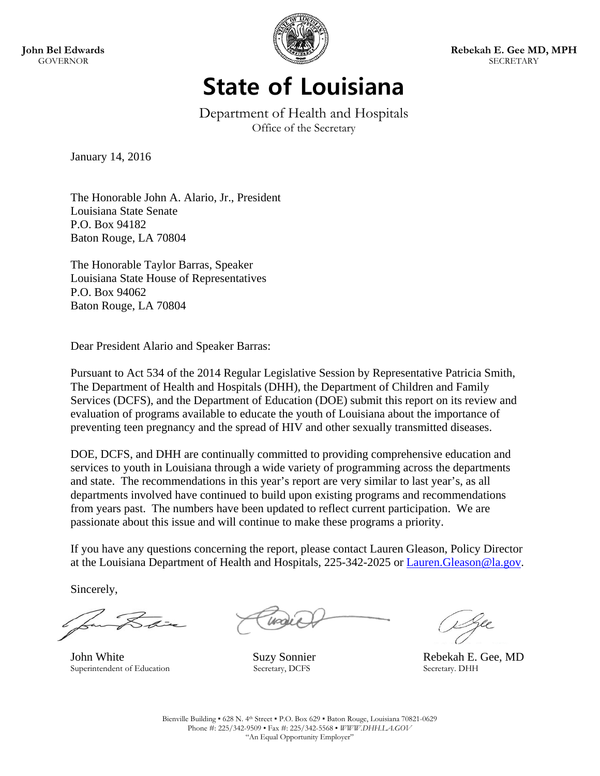**John Bel Edwards**  GOVERNOR



**Rebekah E. Gee MD, MPH SECRETARY** 

# **State of Louisiana**

Department of Health and Hospitals Office of the Secretary

January 14, 2016

The Honorable John A. Alario, Jr., President Louisiana State Senate P.O. Box 94182 Baton Rouge, LA 70804

The Honorable Taylor Barras, Speaker Louisiana State House of Representatives P.O. Box 94062 Baton Rouge, LA 70804

Dear President Alario and Speaker Barras:

Pursuant to Act 534 of the 2014 Regular Legislative Session by Representative Patricia Smith, The Department of Health and Hospitals (DHH), the Department of Children and Family Services (DCFS), and the Department of Education (DOE) submit this report on its review and evaluation of programs available to educate the youth of Louisiana about the importance of preventing teen pregnancy and the spread of HIV and other sexually transmitted diseases.

DOE, DCFS, and DHH are continually committed to providing comprehensive education and services to youth in Louisiana through a wide variety of programming across the departments and state. The recommendations in this year's report are very similar to last year's, as all departments involved have continued to build upon existing programs and recommendations from years past. The numbers have been updated to reflect current participation. We are passionate about this issue and will continue to make these programs a priority.

If you have any questions concerning the report, please contact Lauren Gleason, Policy Director at the Louisiana Department of Health and Hospitals, 225-342-2025 or Lauren.Gleason@la.gov.

Sincerely,

Superintendent of Education

John White Suzy Sonnier<br>
Suzy Sonnier<br>
Secretary, DCFS Rebekah E. Gee, MD<br>
Secretary, DCFS Secretary, DHH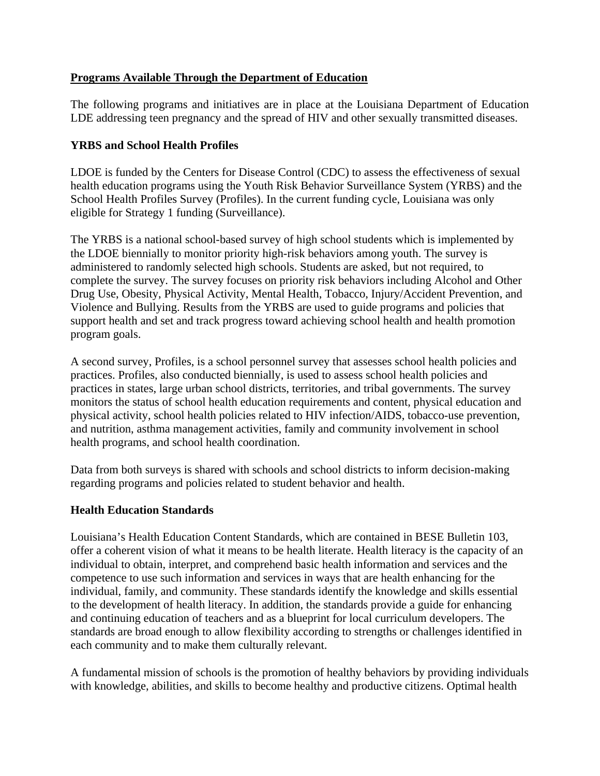# **Programs Available Through the Department of Education**

The following programs and initiatives are in place at the Louisiana Department of Education LDE addressing teen pregnancy and the spread of HIV and other sexually transmitted diseases.

## **YRBS and School Health Profiles**

LDOE is funded by the Centers for Disease Control (CDC) to assess the effectiveness of sexual health education programs using the Youth Risk Behavior Surveillance System (YRBS) and the School Health Profiles Survey (Profiles). In the current funding cycle, Louisiana was only eligible for Strategy 1 funding (Surveillance).

The YRBS is a national school-based survey of high school students which is implemented by the LDOE biennially to monitor priority high-risk behaviors among youth. The survey is administered to randomly selected high schools. Students are asked, but not required, to complete the survey. The survey focuses on priority risk behaviors including Alcohol and Other Drug Use, Obesity, Physical Activity, Mental Health, Tobacco, Injury/Accident Prevention, and Violence and Bullying. Results from the YRBS are used to guide programs and policies that support health and set and track progress toward achieving school health and health promotion program goals.

A second survey, Profiles, is a school personnel survey that assesses school health policies and practices. Profiles, also conducted biennially, is used to assess school health policies and practices in states, large urban school districts, territories, and tribal governments. The survey monitors the status of school health education requirements and content, physical education and physical activity, school health policies related to HIV infection/AIDS, tobacco-use prevention, and nutrition, asthma management activities, family and community involvement in school health programs, and school health coordination.

Data from both surveys is shared with schools and school districts to inform decision-making regarding programs and policies related to student behavior and health.

#### **Health Education Standards**

Louisiana's Health Education Content Standards, which are contained in BESE Bulletin 103, offer a coherent vision of what it means to be health literate. Health literacy is the capacity of an individual to obtain, interpret, and comprehend basic health information and services and the competence to use such information and services in ways that are health enhancing for the individual, family, and community. These standards identify the knowledge and skills essential to the development of health literacy. In addition, the standards provide a guide for enhancing and continuing education of teachers and as a blueprint for local curriculum developers. The standards are broad enough to allow flexibility according to strengths or challenges identified in each community and to make them culturally relevant.

A fundamental mission of schools is the promotion of healthy behaviors by providing individuals with knowledge, abilities, and skills to become healthy and productive citizens. Optimal health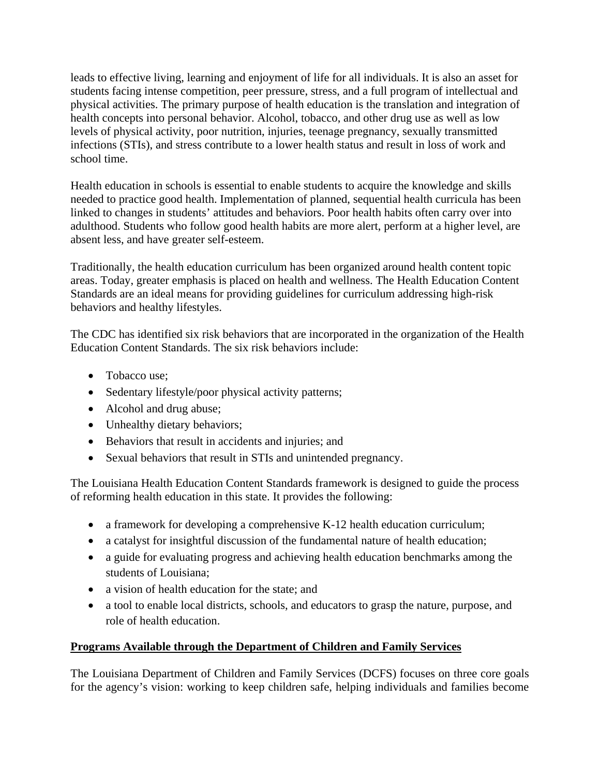leads to effective living, learning and enjoyment of life for all individuals. It is also an asset for students facing intense competition, peer pressure, stress, and a full program of intellectual and physical activities. The primary purpose of health education is the translation and integration of health concepts into personal behavior. Alcohol, tobacco, and other drug use as well as low levels of physical activity, poor nutrition, injuries, teenage pregnancy, sexually transmitted infections (STIs), and stress contribute to a lower health status and result in loss of work and school time.

Health education in schools is essential to enable students to acquire the knowledge and skills needed to practice good health. Implementation of planned, sequential health curricula has been linked to changes in students' attitudes and behaviors. Poor health habits often carry over into adulthood. Students who follow good health habits are more alert, perform at a higher level, are absent less, and have greater self-esteem.

Traditionally, the health education curriculum has been organized around health content topic areas. Today, greater emphasis is placed on health and wellness. The Health Education Content Standards are an ideal means for providing guidelines for curriculum addressing high-risk behaviors and healthy lifestyles.

The CDC has identified six risk behaviors that are incorporated in the organization of the Health Education Content Standards. The six risk behaviors include:

- Tobacco use;
- Sedentary lifestyle/poor physical activity patterns;
- Alcohol and drug abuse;
- Unhealthy dietary behaviors;
- Behaviors that result in accidents and injuries; and
- Sexual behaviors that result in STIs and unintended pregnancy.

The Louisiana Health Education Content Standards framework is designed to guide the process of reforming health education in this state. It provides the following:

- a framework for developing a comprehensive K-12 health education curriculum;
- a catalyst for insightful discussion of the fundamental nature of health education;
- a guide for evaluating progress and achieving health education benchmarks among the students of Louisiana;
- a vision of health education for the state; and
- a tool to enable local districts, schools, and educators to grasp the nature, purpose, and role of health education.

# **Programs Available through the Department of Children and Family Services**

The Louisiana Department of Children and Family Services (DCFS) focuses on three core goals for the agency's vision: working to keep children safe, helping individuals and families become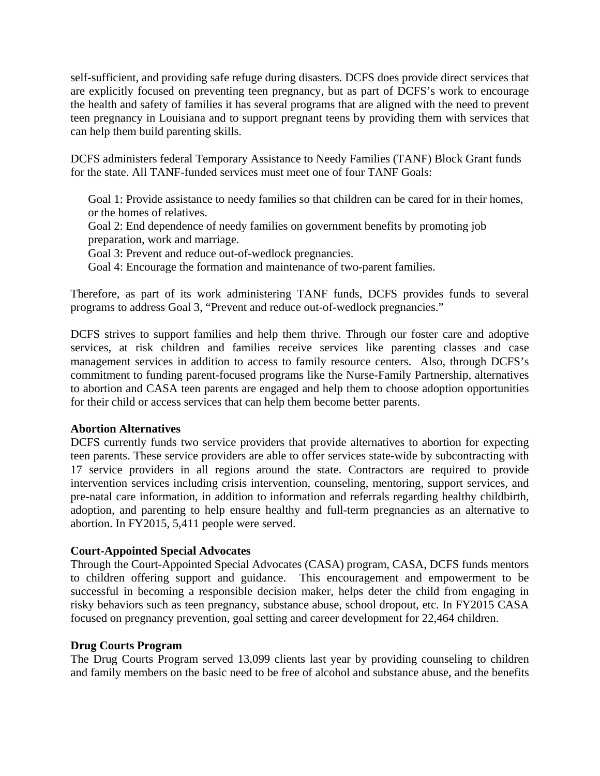self-sufficient, and providing safe refuge during disasters. DCFS does provide direct services that are explicitly focused on preventing teen pregnancy, but as part of DCFS's work to encourage the health and safety of families it has several programs that are aligned with the need to prevent teen pregnancy in Louisiana and to support pregnant teens by providing them with services that can help them build parenting skills.

DCFS administers federal Temporary Assistance to Needy Families (TANF) Block Grant funds for the state. All TANF-funded services must meet one of four TANF Goals:

Goal 1: Provide assistance to needy families so that children can be cared for in their homes, or the homes of relatives.

Goal 2: End dependence of needy families on government benefits by promoting job preparation, work and marriage.

Goal 3: Prevent and reduce out-of-wedlock pregnancies.

Goal 4: Encourage the formation and maintenance of two-parent families.

Therefore, as part of its work administering TANF funds, DCFS provides funds to several programs to address Goal 3, "Prevent and reduce out-of-wedlock pregnancies."

DCFS strives to support families and help them thrive. Through our foster care and adoptive services, at risk children and families receive services like parenting classes and case management services in addition to access to family resource centers. Also, through DCFS's commitment to funding parent-focused programs like the Nurse-Family Partnership, alternatives to abortion and CASA teen parents are engaged and help them to choose adoption opportunities for their child or access services that can help them become better parents.

#### **Abortion Alternatives**

DCFS currently funds two service providers that provide alternatives to abortion for expecting teen parents. These service providers are able to offer services state-wide by subcontracting with 17 service providers in all regions around the state. Contractors are required to provide intervention services including crisis intervention, counseling, mentoring, support services, and pre-natal care information, in addition to information and referrals regarding healthy childbirth, adoption, and parenting to help ensure healthy and full-term pregnancies as an alternative to abortion. In FY2015, 5,411 people were served.

# **Court-Appointed Special Advocates**

Through the Court-Appointed Special Advocates (CASA) program, CASA, DCFS funds mentors to children offering support and guidance. This encouragement and empowerment to be successful in becoming a responsible decision maker, helps deter the child from engaging in risky behaviors such as teen pregnancy, substance abuse, school dropout, etc. In FY2015 CASA focused on pregnancy prevention, goal setting and career development for 22,464 children.

#### **Drug Courts Program**

The Drug Courts Program served 13,099 clients last year by providing counseling to children and family members on the basic need to be free of alcohol and substance abuse, and the benefits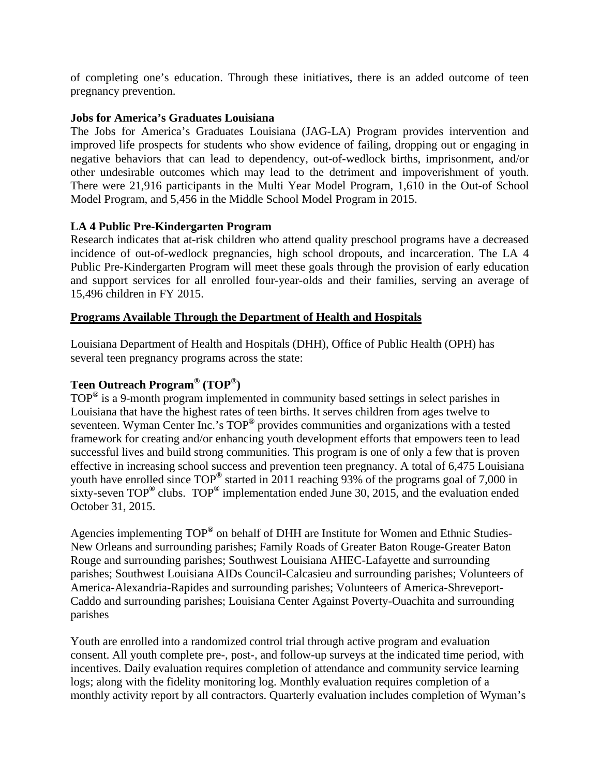of completing one's education. Through these initiatives, there is an added outcome of teen pregnancy prevention.

## **Jobs for America's Graduates Louisiana**

The Jobs for America's Graduates Louisiana (JAG-LA) Program provides intervention and improved life prospects for students who show evidence of failing, dropping out or engaging in negative behaviors that can lead to dependency, out-of-wedlock births, imprisonment, and/or other undesirable outcomes which may lead to the detriment and impoverishment of youth. There were 21,916 participants in the Multi Year Model Program, 1,610 in the Out-of School Model Program, and 5,456 in the Middle School Model Program in 2015.

# **LA 4 Public Pre-Kindergarten Program**

Research indicates that at-risk children who attend quality preschool programs have a decreased incidence of out-of-wedlock pregnancies, high school dropouts, and incarceration. The LA 4 Public Pre-Kindergarten Program will meet these goals through the provision of early education and support services for all enrolled four-year-olds and their families, serving an average of 15,496 children in FY 2015.

## **Programs Available Through the Department of Health and Hospitals**

Louisiana Department of Health and Hospitals (DHH), Office of Public Health (OPH) has several teen pregnancy programs across the state:

# **Teen Outreach Program® (TOP®)**

TOP**®** is a 9-month program implemented in community based settings in select parishes in Louisiana that have the highest rates of teen births. It serves children from ages twelve to seventeen. Wyman Center Inc.'s TOP<sup>®</sup> provides communities and organizations with a tested framework for creating and/or enhancing youth development efforts that empowers teen to lead successful lives and build strong communities. This program is one of only a few that is proven effective in increasing school success and prevention teen pregnancy. A total of 6,475 Louisiana youth have enrolled since TOP**®** started in 2011 reaching 93% of the programs goal of 7,000 in sixty-seven TOP<sup>®</sup> clubs. TOP<sup>®</sup> implementation ended June 30, 2015, and the evaluation ended October 31, 2015.

Agencies implementing TOP**®** on behalf of DHH are Institute for Women and Ethnic Studies-New Orleans and surrounding parishes; Family Roads of Greater Baton Rouge-Greater Baton Rouge and surrounding parishes; Southwest Louisiana AHEC-Lafayette and surrounding parishes; Southwest Louisiana AIDs Council-Calcasieu and surrounding parishes; Volunteers of America-Alexandria-Rapides and surrounding parishes; Volunteers of America-Shreveport-Caddo and surrounding parishes; Louisiana Center Against Poverty-Ouachita and surrounding parishes

Youth are enrolled into a randomized control trial through active program and evaluation consent. All youth complete pre-, post-, and follow-up surveys at the indicated time period, with incentives. Daily evaluation requires completion of attendance and community service learning logs; along with the fidelity monitoring log. Monthly evaluation requires completion of a monthly activity report by all contractors. Quarterly evaluation includes completion of Wyman's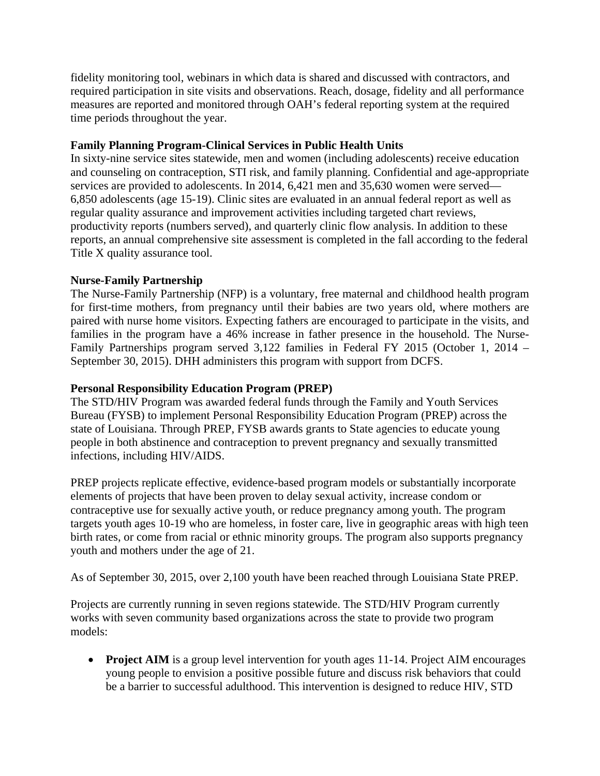fidelity monitoring tool, webinars in which data is shared and discussed with contractors, and required participation in site visits and observations. Reach, dosage, fidelity and all performance measures are reported and monitored through OAH's federal reporting system at the required time periods throughout the year.

## **Family Planning Program-Clinical Services in Public Health Units**

In sixty-nine service sites statewide, men and women (including adolescents) receive education and counseling on contraception, STI risk, and family planning. Confidential and age-appropriate services are provided to adolescents. In 2014, 6,421 men and 35,630 women were served— 6,850 adolescents (age 15-19). Clinic sites are evaluated in an annual federal report as well as regular quality assurance and improvement activities including targeted chart reviews, productivity reports (numbers served), and quarterly clinic flow analysis. In addition to these reports, an annual comprehensive site assessment is completed in the fall according to the federal Title X quality assurance tool.

## **Nurse-Family Partnership**

The Nurse-Family Partnership (NFP) is a voluntary, free maternal and childhood health program for first-time mothers, from pregnancy until their babies are two years old, where mothers are paired with nurse home visitors. Expecting fathers are encouraged to participate in the visits, and families in the program have a 46% increase in father presence in the household. The Nurse-Family Partnerships program served 3,122 families in Federal FY 2015 (October 1, 2014 – September 30, 2015). DHH administers this program with support from DCFS.

#### **Personal Responsibility Education Program (PREP)**

The STD/HIV Program was awarded federal funds through the Family and Youth Services Bureau (FYSB) to implement Personal Responsibility Education Program (PREP) across the state of Louisiana. Through PREP, FYSB awards grants to State agencies to educate young people in both abstinence and contraception to prevent pregnancy and sexually transmitted infections, including HIV/AIDS.

PREP projects replicate effective, evidence-based program models or substantially incorporate elements of projects that have been proven to delay sexual activity, increase condom or contraceptive use for sexually active youth, or reduce pregnancy among youth. The program targets youth ages 10-19 who are homeless, in foster care, live in geographic areas with high teen birth rates, or come from racial or ethnic minority groups. The program also supports pregnancy youth and mothers under the age of 21.

As of September 30, 2015, over 2,100 youth have been reached through Louisiana State PREP.

Projects are currently running in seven regions statewide. The STD/HIV Program currently works with seven community based organizations across the state to provide two program models:

• **Project AIM** is a group level intervention for youth ages 11-14. Project AIM encourages young people to envision a positive possible future and discuss risk behaviors that could be a barrier to successful adulthood. This intervention is designed to reduce HIV, STD